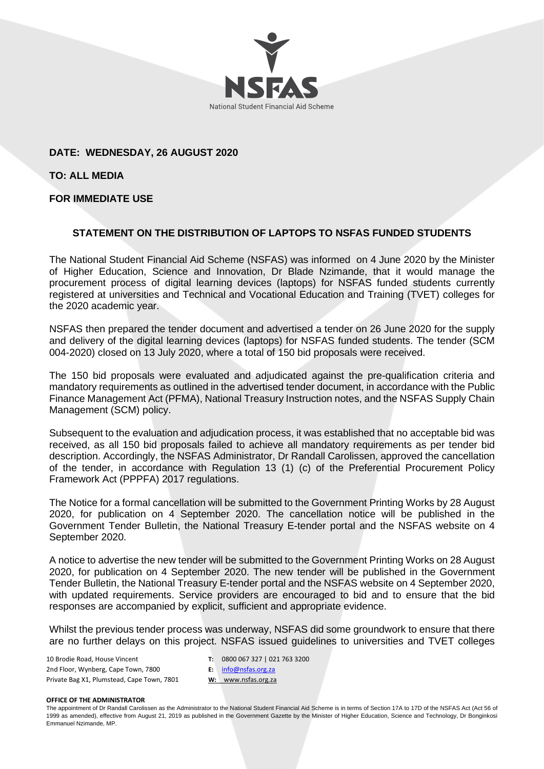

# **DATE: WEDNESDAY, 26 AUGUST 2020**

**TO: ALL MEDIA**

# **FOR IMMEDIATE USE**

# **STATEMENT ON THE DISTRIBUTION OF LAPTOPS TO NSFAS FUNDED STUDENTS**

The National Student Financial Aid Scheme (NSFAS) was informed on 4 June 2020 by the Minister of Higher Education, Science and Innovation, Dr Blade Nzimande, that it would manage the procurement process of digital learning devices (laptops) for NSFAS funded students currently registered at universities and Technical and Vocational Education and Training (TVET) colleges for the 2020 academic year.

NSFAS then prepared the tender document and advertised a tender on 26 June 2020 for the supply and delivery of the digital learning devices (laptops) for NSFAS funded students. The tender (SCM 004-2020) closed on 13 July 2020, where a total of 150 bid proposals were received.

The 150 bid proposals were evaluated and adjudicated against the pre-qualification criteria and mandatory requirements as outlined in the advertised tender document, in accordance with the Public Finance Management Act (PFMA), National Treasury Instruction notes, and the NSFAS Supply Chain Management (SCM) policy.

Subsequent to the evaluation and adjudication process, it was established that no acceptable bid was received, as all 150 bid proposals failed to achieve all mandatory requirements as per tender bid description. Accordingly, the NSFAS Administrator, Dr Randall Carolissen, approved the cancellation of the tender, in accordance with Regulation 13 (1) (c) of the Preferential Procurement Policy Framework Act (PPPFA) 2017 regulations.

The Notice for a formal cancellation will be submitted to the Government Printing Works by 28 August 2020, for publication on 4 September 2020. The cancellation notice will be published in the Government Tender Bulletin, the National Treasury E-tender portal and the NSFAS website on 4 September 2020.

A notice to advertise the new tender will be submitted to the Government Printing Works on 28 August 2020, for publication on 4 September 2020. The new tender will be published in the Government Tender Bulletin, the National Treasury E-tender portal and the NSFAS website on 4 September 2020, with updated requirements. Service providers are encouraged to bid and to ensure that the bid responses are accompanied by explicit, sufficient and appropriate evidence.

Whilst the previous tender process was underway, NSFAS did some groundwork to ensure that there are no further delays on this project. NSFAS issued guidelines to universities and TVET colleges

| 10 Brodie Road, House Vincent              |    | 0800                  |
|--------------------------------------------|----|-----------------------|
| 2nd Floor, Wynberg, Cape Town, 7800        |    | $E:$ info $\emptyset$ |
| Private Bag X1, Plumstead, Cape Town, 7801 | w: | <b>WWV</b>            |

**T:** 0800 067 327 | 021 763 3200

### **OFFICE OF THE ADMINISTRATOR**

The appointment of Dr Randall Carolissen as the Administrator to the National Student Financial Aid Scheme is in terms of Section 17A to 17D of the NSFAS Act (Act 56 of 1999 as amended), effective from August 21, 2019 as published in the Government Gazette by the Minister of Higher Education, Science and Technology, Dr Bonginkosi Emmanuel Nzimande, MP.

**E:** [info@nsfas.org.za](mailto:info@nsfas.org.za) **W:** www.nsfas.org.za